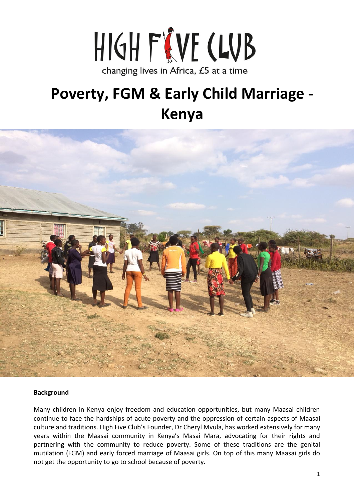

# **Poverty, FGM & Early Child Marriage - Kenya**



#### **Background**

Many children in Kenya enjoy freedom and education opportunities, but many Maasai children continue to face the hardships of acute poverty and the oppression of certain aspects of Maasai culture and traditions. High Five Club's Founder, Dr Cheryl Mvula, has worked extensively for many years within the Maasai community in Kenya's Masai Mara, advocating for their rights and partnering with the community to reduce poverty. Some of these traditions are the genital mutilation (FGM) and early forced marriage of Maasai girls. On top of this many Maasai girls do not get the opportunity to go to school because of poverty.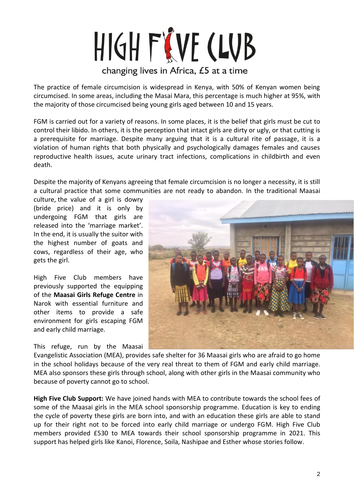# HIGH FIVE CLUB changing lives in Africa, £5 at a time

The practice of female circumcision is widespread in Kenya, with 50% of Kenyan women being circumcised. In some areas, including the Masai Mara, this percentage is much higher at 95%, with the majority of those circumcised being young girls aged between 10 and 15 years.

FGM is carried out for a variety of reasons. In some places, it is the belief that girls must be cut to control their libido. In others, it is the perception that intact girls are dirty or ugly, or that cutting is a prerequisite for marriage. Despite many arguing that it is a cultural rite of passage, it is a violation of human rights that both physically and psychologically damages females and causes reproductive health issues, acute urinary tract infections, complications in childbirth and even death.

Despite the majority of Kenyans agreeing that female circumcision is no longer a necessity, it is still a cultural practice that some communities are not ready to abandon. In the traditional Maasai

culture, the value of a girl is dowry (bride price) and it is only by undergoing FGM that girls are released into the 'marriage market'. In the end, it is usually the suitor with the highest number of goats and cows, regardless of their age, who gets the girl.

High Five Club members have previously supported the equipping of the **Maasai Girls Refuge Centre** in Narok with essential furniture and other items to provide a safe environment for girls escaping FGM and early child marriage.

This refuge, run by the Maasai



Evangelistic Association (MEA), provides safe shelter for 36 Maasai girls who are afraid to go home in the school holidays because of the very real threat to them of FGM and early child marriage. MEA also sponsors these girls through school, along with other girls in the Maasai community who because of poverty cannot go to school.

**High Five Club Support:** We have joined hands with MEA to contribute towards the school fees of some of the Maasai girls in the MEA school sponsorship programme. Education is key to ending the cycle of poverty these girls are born into, and with an education these girls are able to stand up for their right not to be forced into early child marriage or undergo FGM. High Five Club members provided £530 to MEA towards their school sponsorship programme in 2021. This support has helped girls like Kanoi, Florence, Soila, Nashipae and Esther whose stories follow.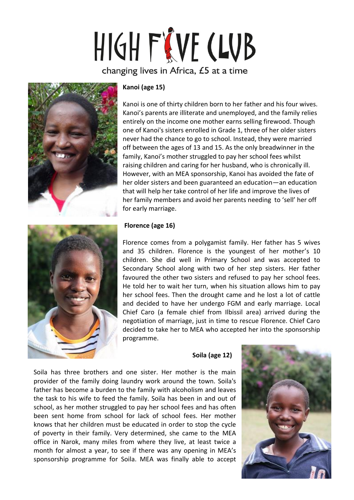# HIGH FIVE CLUB changing lives in Africa, £5 at a time



### **Kanoi (age 15)**

Kanoi is one of thirty children born to her father and his four wives. Kanoi's parents are illiterate and unemployed, and the family relies entirely on the income one mother earns selling firewood. Though one of Kanoi's sisters enrolled in Grade 1, three of her older sisters never had the chance to go to school. Instead, they were married off between the ages of 13 and 15. As the only breadwinner in the family, Kanoi's mother struggled to pay her school fees whilst raising children and caring for her husband, who is chronically ill. However, with an MEA sponsorship, Kanoi has avoided the fate of her older sisters and been guaranteed an education—an education that will help her take control of her life and improve the lives of her family members and avoid her parents needing to 'sell' her off for early marriage.



### **Florence (age 16)**

Florence comes from a polygamist family. Her father has 5 wives and 35 children. Florence is the youngest of her mother's 10 children. She did well in Primary School and was accepted to Secondary School along with two of her step sisters. Her father favoured the other two sisters and refused to pay her school fees. He told her to wait her turn, when his situation allows him to pay her school fees. Then the drought came and he lost a lot of cattle and decided to have her undergo FGM and early marriage. Local Chief Caro (a female chief from Ilbissil area) arrived during the negotiation of marriage, just in time to rescue Florence. Chief Caro decided to take her to MEA who accepted her into the sponsorship programme.

#### **Soila (age 12)**

Soila has three brothers and one sister. Her mother is the main provider of the family doing laundry work around the town. Soila's father has become a burden to the family with alcoholism and leaves the task to his wife to feed the family. Soila has been in and out of school, as her mother struggled to pay her school fees and has often been sent home from school for lack of school fees. Her mother knows that her children must be educated in order to stop the cycle of poverty in their family. Very determined, she came to the MEA office in Narok, many miles from where they live, at least twice a month for almost a year, to see if there was any opening in MEA's sponsorship programme for Soila. MEA was finally able to accept